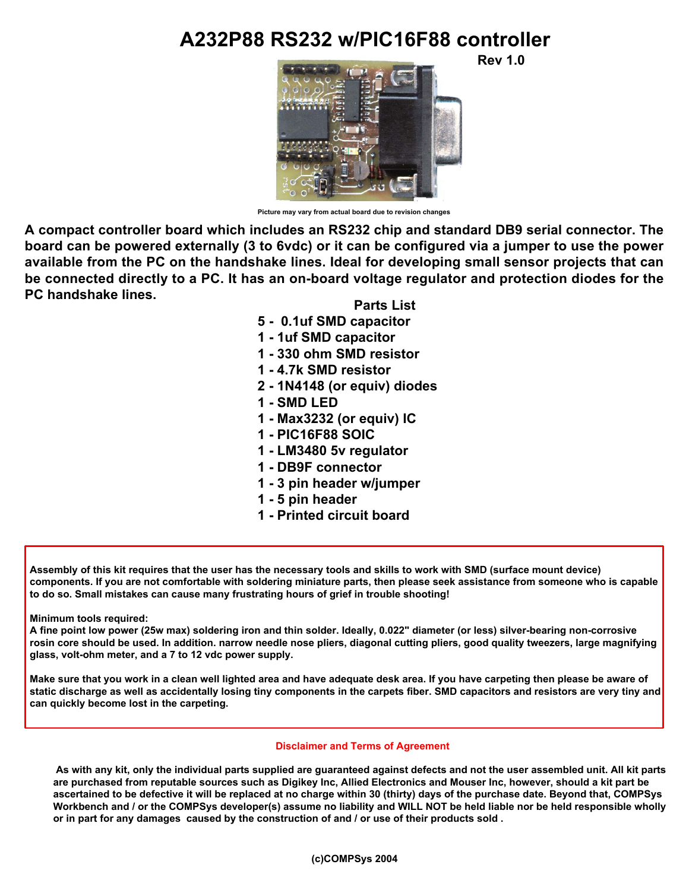## **A232P88 RS232 w/PIC16F88 controller**

**Rev 1.0**



**Picture may vary from actual board due to revision changes**

**A compact controller board which includes an RS232 chip and standard DB9 serial connector. The board can be powered externally (3 to 6vdc) or it can be configured via a jumper to use the power available from the PC on the handshake lines. Ideal for developing small sensor projects that can be connected directly to a PC. It has an on-board voltage regulator and protection diodes for the PC handshake lines.**

## **Parts List**

- **5 0.1uf SMD capacitor**
- **1 1uf SMD capacitor**
- **1 330 ohm SMD resistor**
- **1 4.7k SMD resistor**
- **2 1N4148 (or equiv) diodes**
- **1 SMD LED**
- **1 Max3232 (or equiv) IC**
- **1 PIC16F88 SOIC**
- **1 LM3480 5v regulator**
- **1 DB9F connector**
- **1 3 pin header w/jumper**
- **1 5 pin header**
- **1 Printed circuit board**

**Assembly of this kit requires that the user has the necessary tools and skills to work with SMD (surface mount device) components. If you are not comfortable with soldering miniature parts, then please seek assistance from someone who is capable to do so. Small mistakes can cause many frustrating hours of grief in trouble shooting!**

**Minimum tools required:**

**A fine point low power (25w max) soldering iron and thin solder. Ideally, 0.022" diameter (or less) silver-bearing non-corrosive rosin core should be used. In addition. narrow needle nose pliers, diagonal cutting pliers, good quality tweezers, large magnifying glass, volt-ohm meter, and a 7 to 12 vdc power supply.**

**Make sure that you work in a clean well lighted area and have adequate desk area. If you have carpeting then please be aware of static discharge as well as accidentally losing tiny components in the carpets fiber. SMD capacitors and resistors are very tiny and can quickly become lost in the carpeting.**

## **Disclaimer and Terms of Agreement**

 **As with any kit, only the individual parts supplied are guaranteed against defects and not the user assembled unit. All kit parts are purchased from reputable sources such as Digikey Inc, Allied Electronics and Mouser Inc, however, should a kit part be ascertained to be defective it will be replaced at no charge within 30 (thirty) days of the purchase date. Beyond that, COMPSys Workbench and / or the COMPSys developer(s) assume no liability and WILL NOT be held liable nor be held responsible wholly or in part for any damages caused by the construction of and / or use of their products sold .**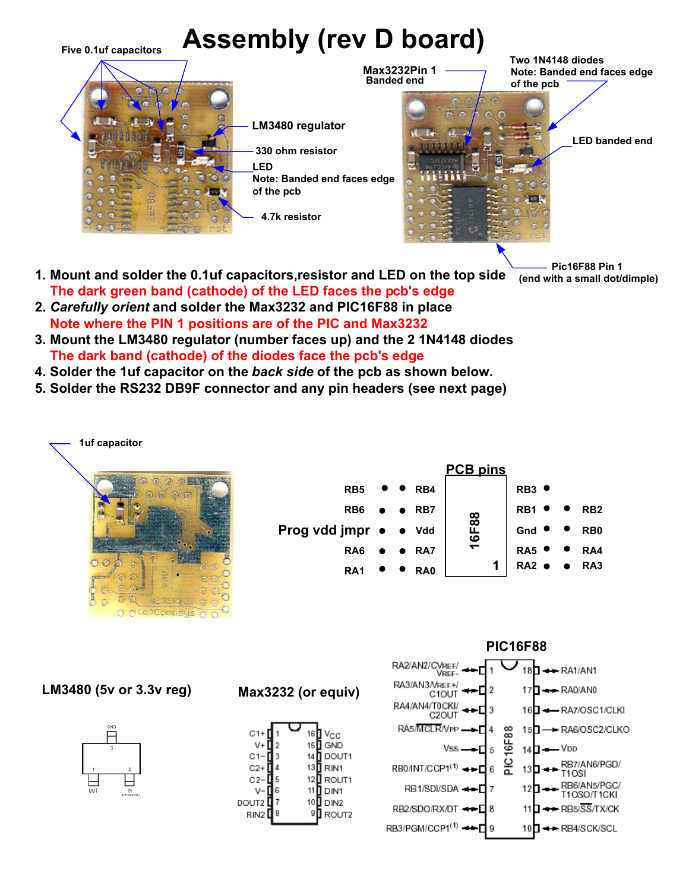

- **1. Mount and solder the 0.1uf capacitors,resistor and LED on the top side The dark green band (cathode) of the LED faces the pcb's edge**
- **2.** *Carefully orient* **and solder the Max3232 and PIC16F88 in place Note where the PIN 1 positions are of the PIC and Max3232**
- **3. Mount the LM3480 regulator (number faces up) and the 2 1N4148 diodes The dark band (cathode) of the diodes face the pcb's edge**
- **4. Solder the 1uf capacitor on the** *back side* **of the pcb as shown below.**
- **5. Solder the RS232 DB9F connector and any pin headers (see next page)**



|                       |  |                 | <b>PCB pins</b> |                  |                              |                 |                 |
|-----------------------|--|-----------------|-----------------|------------------|------------------------------|-----------------|-----------------|
| RB <sub>5</sub>       |  | RB4             |                 |                  | $\bullet$<br>RB <sub>3</sub> |                 |                 |
| RB <sub>6</sub>       |  | $\bullet$ RB7   |                 | R <sub>B</sub> 1 |                              | RB <sub>2</sub> |                 |
| Prog vdd jmpr · · Vdd |  |                 | 16F88           |                  | Gnd                          |                 | RB <sub>0</sub> |
| RA <sub>6</sub>       |  | $\bullet$ RAT   |                 |                  | RA5                          | $\bullet$       | RA4             |
| RA <sub>1</sub>       |  | RA <sub>0</sub> |                 | 1                | $RA2$ $\bullet$              |                 | $\bullet$ RA3   |

**LM3480 (5v or 3.3v reg)**



**Max3232 (or equiv)**





 **(end with a small dot/dimple)**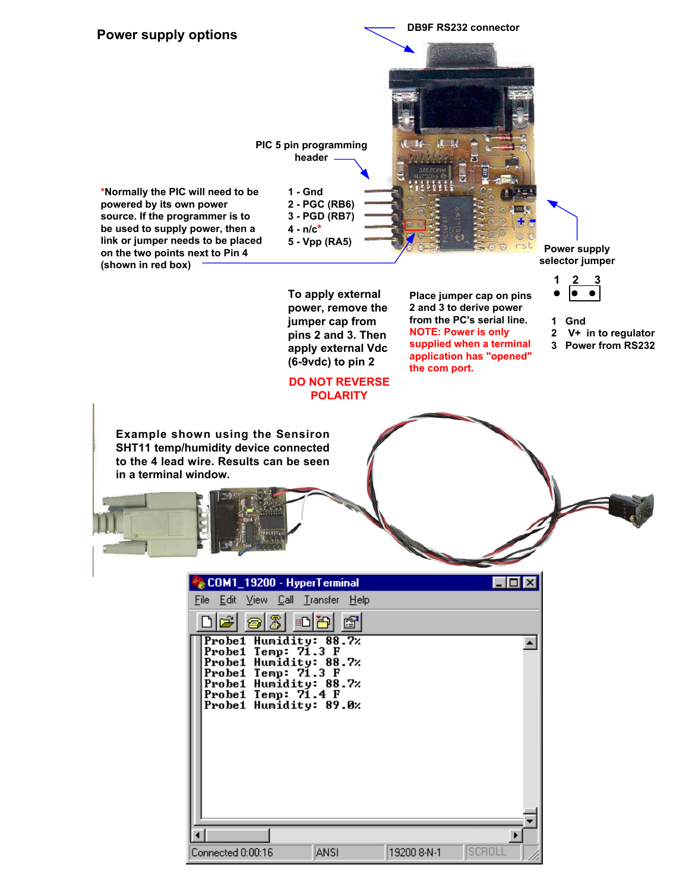